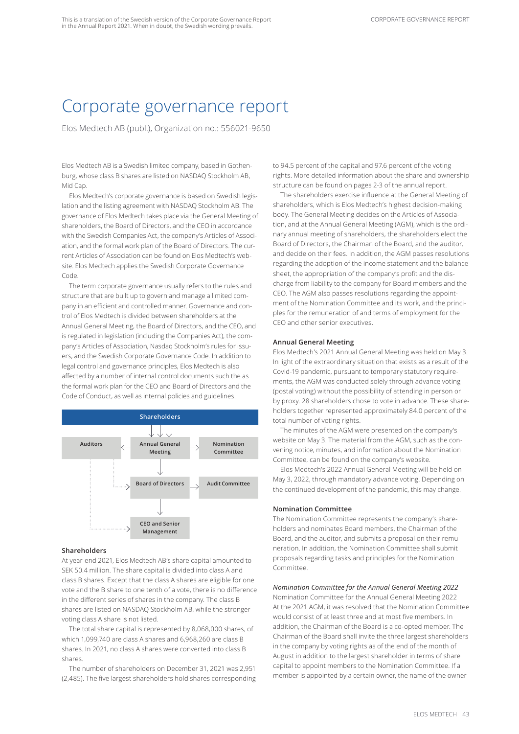# Corporate governance report

Elos Medtech AB (publ.), Organization no.: 556021-9650

Elos Medtech AB is a Swedish limited company, based in Gothenburg, whose class B shares are listed on NASDAQ Stockholm AB, Mid Cap.

Elos Medtech's corporate governance is based on Swedish legislation and the listing agreement with NASDAQ Stockholm AB. The governance of Elos Medtech takes place via the General Meeting of shareholders, the Board of Directors, and the CEO in accordance with the Swedish Companies Act, the company's Articles of Association, and the formal work plan of the Board of Directors. The current Articles of Association can be found on Elos Medtech's website. Elos Medtech applies the Swedish Corporate Governance Code.

The term corporate governance usually refers to the rules and structure that are built up to govern and manage a limited company in an efficient and controlled manner. Governance and control of Elos Medtech is divided between shareholders at the Annual General Meeting, the Board of Directors, and the CEO, and is regulated in legislation (including the Companies Act), the company's Articles of Association, Nasdaq Stockholm's rules for issuers, and the Swedish Corporate Governance Code. In addition to legal control and governance principles, Elos Medtech is also affected by a number of internal control documents such the as the formal work plan for the CEO and Board of Directors and the Code of Conduct, as well as internal policies and guidelines.



# **Shareholders**

At year-end 2021, Elos Medtech AB's share capital amounted to SEK 50.4 million. The share capital is divided into class A and class B shares. Except that the class A shares are eligible for one vote and the B share to one tenth of a vote, there is no difference in the different series of shares in the company. The class B shares are listed on NASDAQ Stockholm AB, while the stronger voting class A share is not listed.

The total share capital is represented by 8,068,000 shares, of which 1,099,740 are class A shares and 6,968,260 are class B shares. In 2021, no class A shares were converted into class B shares.

The number of shareholders on December 31, 2021 was 2,951 (2,485). The five largest shareholders hold shares corresponding to 94.5 percent of the capital and 97.6 percent of the voting rights. More detailed information about the share and ownership structure can be found on pages 2-3 of the annual report.

The shareholders exercise influence at the General Meeting of shareholders, which is Elos Medtech's highest decision-making body. The General Meeting decides on the Articles of Association, and at the Annual General Meeting (AGM), which is the ordinary annual meeting of shareholders, the shareholders elect the Board of Directors, the Chairman of the Board, and the auditor, and decide on their fees. In addition, the AGM passes resolutions regarding the adoption of the income statement and the balance sheet, the appropriation of the company's profit and the discharge from liability to the company for Board members and the CEO. The AGM also passes resolutions regarding the appointment of the Nomination Committee and its work, and the principles for the remuneration of and terms of employment for the CEO and other senior executives.

# **Annual General Meeting**

Elos Medtech's 2021 Annual General Meeting was held on May 3. In light of the extraordinary situation that exists as a result of the Covid-19 pandemic, pursuant to temporary statutory requirements, the AGM was conducted solely through advance voting (postal voting) without the possibility of attending in person or by proxy. 28 shareholders chose to vote in advance. These shareholders together represented approximately 84.0 percent of the total number of voting rights.

The minutes of the AGM were presented on the company's website on May 3. The material from the AGM, such as the convening notice, minutes, and information about the Nomination Committee, can be found on the company's website.

Elos Medtech's 2022 Annual General Meeting will be held on May 3, 2022, through mandatory advance voting. Depending on the continued development of the pandemic, this may change.

# **Nomination Committee**

The Nomination Committee represents the company's shareholders and nominates Board members, the Chairman of the Board, and the auditor, and submits a proposal on their remuneration. In addition, the Nomination Committee shall submit proposals regarding tasks and principles for the Nomination Committee.

# *Nomination Committee for the Annual General Meeting 2022*

Nomination Committee for the Annual General Meeting 2022 At the 2021 AGM, it was resolved that the Nomination Committee would consist of at least three and at most five members. In addition, the Chairman of the Board is a co-opted member. The Chairman of the Board shall invite the three largest shareholders in the company by voting rights as of the end of the month of August in addition to the largest shareholder in terms of share capital to appoint members to the Nomination Committee. If a member is appointed by a certain owner, the name of the owner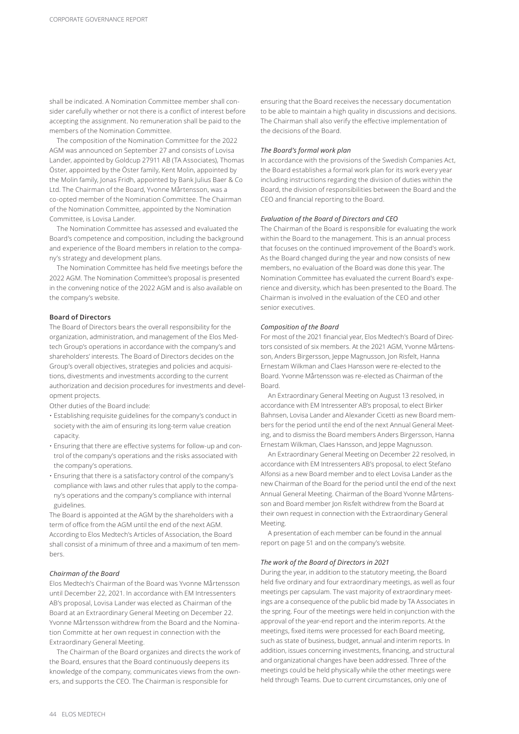shall be indicated. A Nomination Committee member shall consider carefully whether or not there is a conflict of interest before accepting the assignment. No remuneration shall be paid to the members of the Nomination Committee.

The composition of the Nomination Committee for the 2022 AGM was announced on September 27 and consists of Lovisa Lander, appointed by Goldcup 27911 AB (TA Associates), Thomas Öster, appointed by the Öster family, Kent Molin, appointed by the Molin family, Jonas Fridh, appointed by Bank Julius Baer & Co Ltd. The Chairman of the Board, Yvonne Mårtensson, was a co-opted member of the Nomination Committee. The Chairman of the Nomination Committee, appointed by the Nomination Committee, is Lovisa Lander.

The Nomination Committee has assessed and evaluated the Board's competence and composition, including the background and experience of the Board members in relation to the company's strategy and development plans.

The Nomination Committee has held five meetings before the 2022 AGM. The Nomination Committee's proposal is presented in the convening notice of the 2022 AGM and is also available on the company's website.

## **Board of Directors**

The Board of Directors bears the overall responsibility for the organization, administration, and management of the Elos Medtech Group's operations in accordance with the company's and shareholders' interests. The Board of Directors decides on the Group's overall objectives, strategies and policies and acquisitions, divestments and investments according to the current authorization and decision procedures for investments and development projects.

Other duties of the Board include:

- Establishing requisite guidelines for the company's conduct in society with the aim of ensuring its long-term value creation capacity.
- Ensuring that there are effective systems for follow-up and control of the company's operations and the risks associated with the company's operations.
- Ensuring that there is a satisfactory control of the company's compliance with laws and other rules that apply to the company's operations and the company's compliance with internal guidelines.

The Board is appointed at the AGM by the shareholders with a term of office from the AGM until the end of the next AGM. According to Elos Medtech's Articles of Association, the Board shall consist of a minimum of three and a maximum of ten members.

#### *Chairman of the Board*

Elos Medtech's Chairman of the Board was Yvonne Mårtensson until December 22, 2021. In accordance with EM Intressenters AB's proposal, Lovisa Lander was elected as Chairman of the Board at an Extraordinary General Meeting on December 22. Yvonne Mårtensson withdrew from the Board and the Nomination Committe at her own request in connection with the Extraordinary General Meeting.

The Chairman of the Board organizes and directs the work of the Board, ensures that the Board continuously deepens its knowledge of the company, communicates views from the owners, and supports the CEO. The Chairman is responsible for

ensuring that the Board receives the necessary documentation to be able to maintain a high quality in discussions and decisions. The Chairman shall also verify the effective implementation of the decisions of the Board.

## *The Board's formal work plan*

In accordance with the provisions of the Swedish Companies Act, the Board establishes a formal work plan for its work every year including instructions regarding the division of duties within the Board, the division of responsibilities between the Board and the CEO and financial reporting to the Board.

#### *Evaluation of the Board of Directors and CEO*

The Chairman of the Board is responsible for evaluating the work within the Board to the management. This is an annual process that focuses on the continued improvement of the Board's work. As the Board changed during the year and now consists of new members, no evaluation of the Board was done this year. The Nomination Committee has evaluated the current Board's experience and diversity, which has been presented to the Board. The Chairman is involved in the evaluation of the CEO and other senior executives.

## *Composition of the Board*

For most of the 2021 financial year, Elos Medtech's Board of Directors consisted of six members. At the 2021 AGM, Yvonne Mårtensson, Anders Birgersson, Jeppe Magnusson, Jon Risfelt, Hanna Ernestam Wilkman and Claes Hansson were re-elected to the Board. Yvonne Mårtensson was re-elected as Chairman of the Board.

An Extraordinary General Meeting on August 13 resolved, in accordance with EM Intressenter AB's proposal, to elect Birker Bahnsen, Lovisa Lander and Alexander Cicetti as new Board members for the period until the end of the next Annual General Meeting, and to dismiss the Board members Anders Birgersson, Hanna Ernestam Wilkman, Claes Hansson, and Jeppe Magnusson.

An Extraordinary General Meeting on December 22 resolved, in accordance with EM Intressenters AB's proposal, to elect Stefano Alfonsi as a new Board member and to elect Lovisa Lander as the new Chairman of the Board for the period until the end of the next Annual General Meeting. Chairman of the Board Yvonne Mårtensson and Board member Jon Risfelt withdrew from the Board at their own request in connection with the Extraordinary General Meeting.

A presentation of each member can be found in the annual report on page 51 and on the company's website.

#### *The work of the Board of Directors in 2021*

During the year, in addition to the statutory meeting, the Board held five ordinary and four extraordinary meetings, as well as four meetings per capsulam. The vast majority of extraordinary meetings are a consequence of the public bid made by TA Associates in the spring. Four of the meetings were held in conjunction with the approval of the year-end report and the interim reports. At the meetings, fixed items were processed for each Board meeting, such as state of business, budget, annual and interim reports. In addition, issues concerning investments, financing, and structural and organizational changes have been addressed. Three of the meetings could be held physically while the other meetings were held through Teams. Due to current circumstances, only one of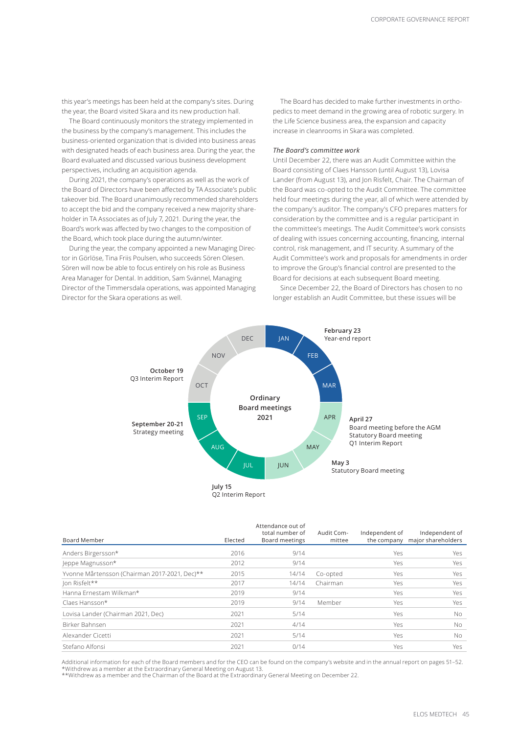this year's meetings has been held at the company's sites. During the year, the Board visited Skara and its new production hall.

The Board continuously monitors the strategy implemented in the business by the company's management. This includes the business-oriented organization that is divided into business areas with designated heads of each business area. During the year, the Board evaluated and discussed various business development perspectives, including an acquisition agenda.

During 2021, the company's operations as well as the work of the Board of Directors have been affected by TA Associate's public takeover bid. The Board unanimously recommended shareholders to accept the bid and the company received a new majority shareholder in TA Associates as of July 7, 2021. During the year, the Board's work was affected by two changes to the composition of the Board, which took place during the autumn/winter.

During the year, the company appointed a new Managing Director in Görlöse, Tina Friis Poulsen, who succeeds Sören Olesen. Sören will now be able to focus entirely on his role as Business Area Manager for Dental. In addition, Sam Svännel, Managing Director of the Timmersdala operations, was appointed Managing Director for the Skara operations as well.

The Board has decided to make further investments in orthopedics to meet demand in the growing area of robotic surgery. In the Life Science business area, the expansion and capacity increase in cleanrooms in Skara was completed.

## *The Board's committee work*

Until December 22, there was an Audit Committee within the Board consisting of Claes Hansson (until August 13), Lovisa Lander (from August 13), and Jon Risfelt, Chair. The Chairman of the Board was co-opted to the Audit Committee. The committee held four meetings during the year, all of which were attended by the company's auditor. The company's CFO prepares matters for consideration by the committee and is a regular participant in the committee's meetings. The Audit Committee's work consists of dealing with issues concerning accounting, financing, internal control, risk management, and IT security. A summary of the Audit Committee's work and proposals for amendments in order to improve the Group's financial control are presented to the Board for decisions at each subsequent Board meeting.

Since December 22, the Board of Directors has chosen to no longer establish an Audit Committee, but these issues will be



| Board Member                                  | Elected | Attendance out of<br>total number of<br>Board meetings | Audit Com-<br>mittee | Independent of | Independent of<br>the company major shareholders |
|-----------------------------------------------|---------|--------------------------------------------------------|----------------------|----------------|--------------------------------------------------|
| Anders Birgersson*                            | 2016    | 9/14                                                   |                      | Yes            | Yes                                              |
| Jeppe Magnusson*                              | 2012    | 9/14                                                   |                      | Yes            | Yes                                              |
| Yvonne Mårtensson (Chairman 2017-2021, Dec)** | 2015    | 14/14                                                  | Co-opted             | Yes            | Yes                                              |
| Jon Risfelt**                                 | 2017    | 14/14                                                  | Chairman             | Yes            | Yes                                              |
| Hanna Ernestam Wilkman*                       | 2019    | 9/14                                                   |                      | Yes            | Yes                                              |
| Claes Hansson*                                | 2019    | 9/14                                                   | Member               | Yes            | Yes                                              |
| Lovisa Lander (Chairman 2021, Dec)            | 2021    | 5/14                                                   |                      | Yes            | No.                                              |
| Birker Bahnsen                                | 2021    | 4/14                                                   |                      | Yes            | No.                                              |
| Alexander Cicetti                             | 2021    | 5/14                                                   |                      | Yes            | No.                                              |
| Stefano Alfonsi                               | 2021    | 0/14                                                   |                      | Yes            | Yes                                              |

Additional information for each of the Board members and for the CEO can be found on the company's website and in the annual report on pages 51–52. \*Withdrew as a member at the Extraordinary General Meeting on August 13.

\*\*Withdrew as a member and the Chairman of the Board at the Extraordinary General Meeting on December 22.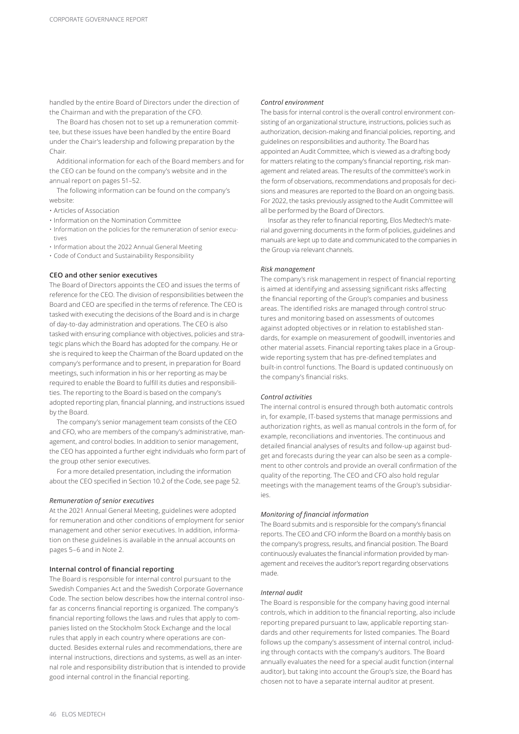handled by the entire Board of Directors under the direction of the Chairman and with the preparation of the CFO.

The Board has chosen not to set up a remuneration committee, but these issues have been handled by the entire Board under the Chair's leadership and following preparation by the Chair.

Additional information for each of the Board members and for the CEO can be found on the company's website and in the annual report on pages 51–52.

The following information can be found on the company's website:

- Articles of Association
- Information on the Nomination Committee
- Information on the policies for the remuneration of senior executives
- Information about the 2022 Annual General Meeting
- Code of Conduct and Sustainability Responsibility

## **CEO and other senior executives**

The Board of Directors appoints the CEO and issues the terms of reference for the CEO. The division of responsibilities between the Board and CEO are specified in the terms of reference. The CEO is tasked with executing the decisions of the Board and is in charge of day-to-day administration and operations. The CEO is also tasked with ensuring compliance with objectives, policies and strategic plans which the Board has adopted for the company. He or she is required to keep the Chairman of the Board updated on the company's performance and to present, in preparation for Board meetings, such information in his or her reporting as may be required to enable the Board to fulfill its duties and responsibilities. The reporting to the Board is based on the company's adopted reporting plan, financial planning, and instructions issued by the Board.

The company's senior management team consists of the CEO and CFO, who are members of the company's administrative, management, and control bodies. In addition to senior management, the CEO has appointed a further eight individuals who form part of the group other senior executives.

For a more detailed presentation, including the information about the CEO specified in Section 10.2 of the Code, see page 52.

## *Remuneration of senior executives*

At the 2021 Annual General Meeting, guidelines were adopted for remuneration and other conditions of employment for senior management and other senior executives. In addition, information on these guidelines is available in the annual accounts on pages 5–6 and in Note 2.

#### **Internal control of financial reporting**

The Board is responsible for internal control pursuant to the Swedish Companies Act and the Swedish Corporate Governance Code. The section below describes how the internal control insofar as concerns financial reporting is organized. The company's financial reporting follows the laws and rules that apply to companies listed on the Stockholm Stock Exchange and the local rules that apply in each country where operations are conducted. Besides external rules and recommendations, there are internal instructions, directions and systems, as well as an internal role and responsibility distribution that is intended to provide good internal control in the financial reporting.

## *Control environment*

The basis for internal control is the overall control environment consisting of an organizational structure, instructions, policies such as authorization, decision-making and financial policies, reporting, and guidelines on responsibilities and authority. The Board has appointed an Audit Committee, which is viewed as a drafting body for matters relating to the company's financial reporting, risk management and related areas. The results of the committee's work in the form of observations, recommendations and proposals for decisions and measures are reported to the Board on an ongoing basis. For 2022, the tasks previously assigned to the Audit Committee will all be performed by the Board of Directors.

Insofar as they refer to financial reporting, Elos Medtech's material and governing documents in the form of policies, guidelines and manuals are kept up to date and communicated to the companies in the Group via relevant channels.

## *Risk management*

The company's risk management in respect of financial reporting is aimed at identifying and assessing significant risks affecting the financial reporting of the Group's companies and business areas. The identified risks are managed through control structures and monitoring based on assessments of outcomes against adopted objectives or in relation to established standards, for example on measurement of goodwill, inventories and other material assets. Financial reporting takes place in a Groupwide reporting system that has pre-defined templates and built-in control functions. The Board is updated continuously on the company's financial risks.

# *Control activities*

The internal control is ensured through both automatic controls in, for example, IT-based systems that manage permissions and authorization rights, as well as manual controls in the form of, for example, reconciliations and inventories. The continuous and detailed financial analyses of results and follow-up against budget and forecasts during the year can also be seen as a complement to other controls and provide an overall confirmation of the quality of the reporting. The CEO and CFO also hold regular meetings with the management teams of the Group's subsidiaries.

## *Monitoring of financial information*

The Board submits and is responsible for the company's financial reports. The CEO and CFO inform the Board on a monthly basis on the company's progress, results, and financial position. The Board continuously evaluates the financial information provided by management and receives the auditor's report regarding observations made.

## *Internal audit*

The Board is responsible for the company having good internal controls, which in addition to the financial reporting, also include reporting prepared pursuant to law, applicable reporting standards and other requirements for listed companies. The Board follows up the company's assessment of internal control, including through contacts with the company's auditors. The Board annually evaluates the need for a special audit function (internal auditor), but taking into account the Group's size, the Board has chosen not to have a separate internal auditor at present.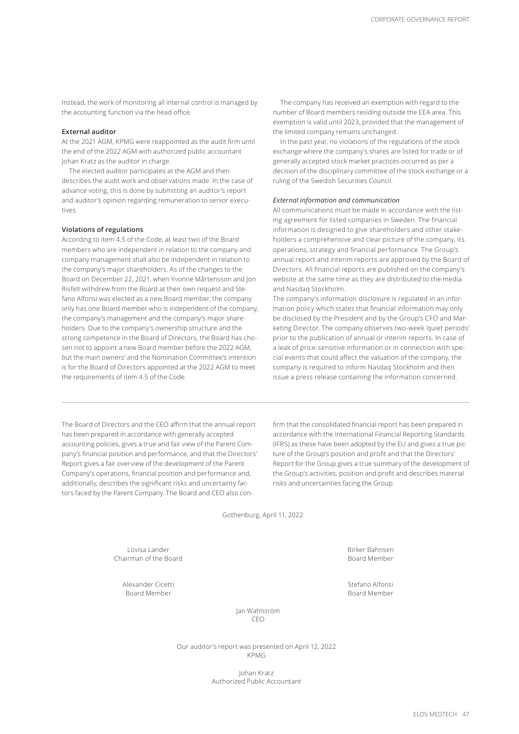Instead, the work of monitoring all internal control is managed by the accounting function via the head office.

## **External auditor**

At the 2021 AGM, KPMG were reappointed as the audit firm until the end of the 2022 AGM with authorized public accountant Johan Kratz as the auditor in charge.

The elected auditor participates at the AGM and then describes the audit work and observations made. In the case of advance voting, this is done by submitting an auditor's report and auditor's opinion regarding remuneration to senior executives.

# **Violations of regulations**

According to item 4.5 of the Code, at least two of the Board members who are independent in relation to the company and company management shall also be independent in relation to the company's major shareholders. As of the changes to the Board on December 22, 2021, when Yvonne Mårtensson and Jon Risfelt withdrew from the Board at their own request and Stefano Alfonsi was elected as a new Board member, the company only has one Board member who is independent of the company, the company's management and the company's major shareholders. Due to the company's ownership structure and the strong competence in the Board of Directors, the Board has chosen not to appoint a new Board member before the 2022 AGM, but the main owners' and the Nomination Committee's intention is for the Board of Directors appointed at the 2022 AGM to meet the requirements of item 4.5 of the Code.

The company has received an exemption with regard to the number of Board members residing outside the EEA area. This exemption is valid until 2023, provided that the management of the limited company remains unchanged.

In the past year, no violations of the regulations of the stock exchange where the company's shares are listed for trade or of generally accepted stock market practices occurred as per a decision of the disciplinary committee of the stock exchange or a ruling of the Swedish Securities Council.

## *External information and communication*

All communications must be made in accordance with the listing agreement for listed companies in Sweden. The financial information is designed to give shareholders and other stakeholders a comprehensive and clear picture of the company, its operations, strategy and financial performance. The Group's annual report and interim reports are approved by the Board of Directors. All financial reports are published on the company's website at the same time as they are distributed to the media and Nasdaq Stockholm.

The company's information disclosure is regulated in an information policy which states that financial information may only be disclosed by the President and by the Group's CFO and Marketing Director. The company observes two-week 'quiet periods' prior to the publication of annual or interim reports. In case of a leak of price-sensitive information or in connection with special events that could affect the valuation of the company, the company is required to inform Nasdaq Stockholm and then issue a press release containing the information concerned.

The Board of Directors and the CEO affirm that the annual report has been prepared in accordance with generally accepted accounting policies, gives a true and fair view of the Parent Company's financial position and performance, and that the Directors' Report gives a fair overview of the development of the Parent Company's operations, financial position and performance and, additionally, describes the significant risks and uncertainty factors faced by the Parent Company. The Board and CEO also con-

firm that the consolidated financial report has been prepared in accordance with the International Financial Reporting Standards (IFRS) as these have been adopted by the EU and gives a true picture of the Group's position and profit and that the Directors' Report for the Group gives a true summary of the development of the Group's activities, position and profit and describes material risks and uncertainties facing the Group.

Gothenburg, April 11, 2022

Lovisa Lander Birker Bahnsen Chairman of the Board **Board Chairman of the Board Member** 

Alexander Cicetti Stefano Alfonsi Board Member Board Member

Jan Wahlström CEO

Our auditor's report was presented on April 12, 2022 KPMG

> Johan Kratz Authorized Public Accountant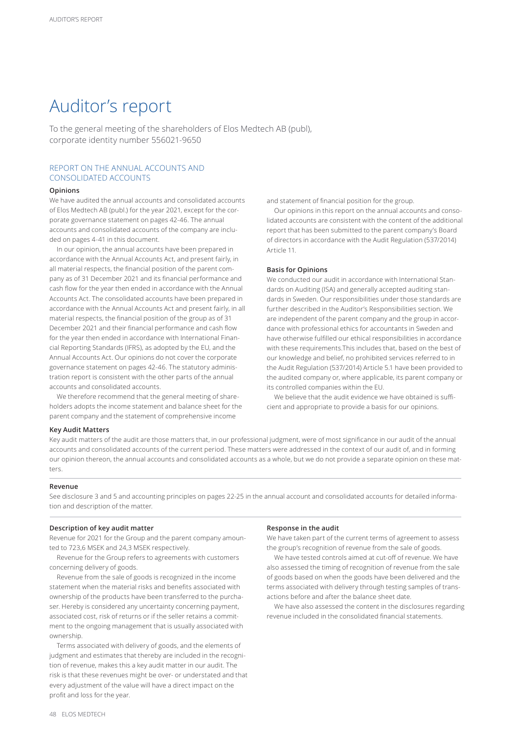# Auditor's report

To the general meeting of the shareholders of Elos Medtech AB (publ), corporate identity number 556021-9650

# REPORT ON THE ANNUAL ACCOUNTS AND CONSOLIDATED ACCOUNTS

## **Opinions**

We have audited the annual accounts and consolidated accounts of Elos Medtech AB (publ.) for the year 2021, except for the corporate governance statement on pages 42-46. The annual accounts and consolidated accounts of the company are included on pages 4-41 in this document.

In our opinion, the annual accounts have been prepared in accordance with the Annual Accounts Act, and present fairly, in all material respects, the financial position of the parent company as of 31 December 2021 and its financial performance and cash flow for the year then ended in accordance with the Annual Accounts Act. The consolidated accounts have been prepared in accordance with the Annual Accounts Act and present fairly, in all material respects, the financial position of the group as of 31 December 2021 and their financial performance and cash flow for the year then ended in accordance with International Financial Reporting Standards (IFRS), as adopted by the EU, and the Annual Accounts Act. Our opinions do not cover the corporate governance statement on pages 42-46. The statutory administration report is consistent with the other parts of the annual accounts and consolidated accounts.

We therefore recommend that the general meeting of shareholders adopts the income statement and balance sheet for the parent company and the statement of comprehensive income

and statement of financial position for the group.

Our opinions in this report on the annual accounts and consolidated accounts are consistent with the content of the additional report that has been submitted to the parent company's Board of directors in accordance with the Audit Regulation (537/2014) Article 11.

## **Basis for Opinions**

We conducted our audit in accordance with International Standards on Auditing (ISA) and generally accepted auditing standards in Sweden. Our responsibilities under those standards are further described in the Auditor's Responsibilities section. We are independent of the parent company and the group in accordance with professional ethics for accountants in Sweden and have otherwise fulfilled our ethical responsibilities in accordance with these requirements. This includes that, based on the best of our knowledge and belief, no prohibited services referred to in the Audit Regulation (537/2014) Article 5.1 have been provided to the audited company or, where applicable, its parent company or its controlled companies within the EU.

We believe that the audit evidence we have obtained is sufficient and appropriate to provide a basis for our opinions.

### **Key Audit Matters**

Key audit matters of the audit are those matters that, in our professional judgment, were of most significance in our audit of the annual accounts and consolidated accounts of the current period. These matters were addressed in the context of our audit of, and in forming our opinion thereon, the annual accounts and consolidated accounts as a whole, but we do not provide a separate opinion on these matters.

## **Revenue**

See disclosure 3 and 5 and accounting principles on pages 22-25 in the annual account and consolidated accounts for detailed information and description of the matter.

## **Description of key audit matter**

Revenue for 2021 for the Group and the parent company amounted to 723,6 MSEK and 24,3 MSEK respectively.

Revenue for the Group refers to agreements with customers concerning delivery of goods.

Revenue from the sale of goods is recognized in the income statement when the material risks and benefits associated with ownership of the products have been transferred to the purchaser. Hereby is considered any uncertainty concerning payment, associated cost, risk of returns or if the seller retains a commitment to the ongoing management that is usually associated with ownership.

Terms associated with delivery of goods, and the elements of judgment and estimates that thereby are included in the recognition of revenue, makes this a key audit matter in our audit. The risk is that these revenues might be over- or understated and that every adjustment of the value will have a direct impact on the profit and loss for the year.

## **Response in the audit**

We have taken part of the current terms of agreement to assess the group's recognition of revenue from the sale of goods.

We have tested controls aimed at cut-off of revenue. We have also assessed the timing of recognition of revenue from the sale of goods based on when the goods have been delivered and the terms associated with delivery through testing samples of transactions before and after the balance sheet date.

We have also assessed the content in the disclosures regarding revenue included in the consolidated financial statements.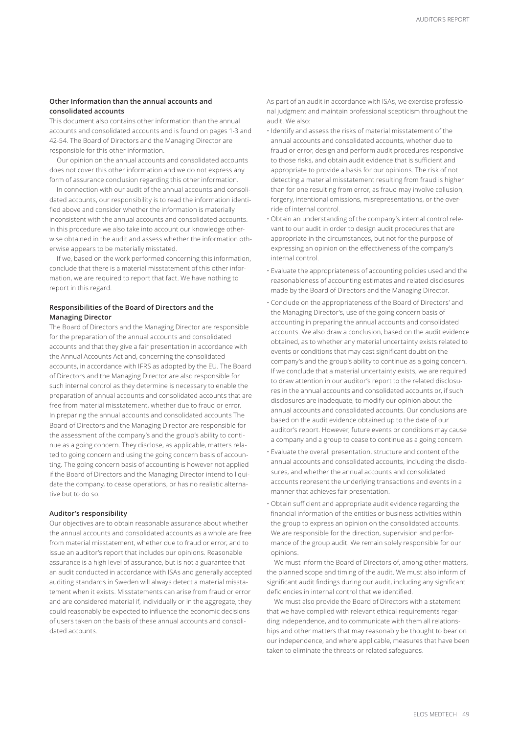# **Other Information than the annual accounts and consolidated accounts**

This document also contains other information than the annual accounts and consolidated accounts and is found on pages 1-3 and 42-54. The Board of Directors and the Managing Director are responsible for this other information.

Our opinion on the annual accounts and consolidated accounts does not cover this other information and we do not express any form of assurance conclusion regarding this other information.

In connection with our audit of the annual accounts and consolidated accounts, our responsibility is to read the information identified above and consider whether the information is materially inconsistent with the annual accounts and consolidated accounts. In this procedure we also take into account our knowledge otherwise obtained in the audit and assess whether the information otherwise appears to be materially misstated.

If we, based on the work performed concerning this information, conclude that there is a material misstatement of this other information, we are required to report that fact. We have nothing to report in this regard.

# **Responsibilities of the Board of Directors and the Managing Director**

The Board of Directors and the Managing Director are responsible for the preparation of the annual accounts and consolidated accounts and that they give a fair presentation in accordance with the Annual Accounts Act and, concerning the consolidated accounts, in accordance with IFRS as adopted by the EU. The Board of Directors and the Managing Director are also responsible for such internal control as they determine is necessary to enable the preparation of annual accounts and consolidated accounts that are free from material misstatement, whether due to fraud or error. In preparing the annual accounts and consolidated accounts The Board of Directors and the Managing Director are responsible for the assessment of the company's and the group's ability to continue as a going concern. They disclose, as applicable, matters related to going concern and using the going concern basis of accounting. The going concern basis of accounting is however not applied if the Board of Directors and the Managing Director intend to liquidate the company, to cease operations, or has no realistic alternative but to do so.

## **Auditor's responsibility**

Our objectives are to obtain reasonable assurance about whether the annual accounts and consolidated accounts as a whole are free from material misstatement, whether due to fraud or error, and to issue an auditor's report that includes our opinions. Reasonable assurance is a high level of assurance, but is not a guarantee that an audit conducted in accordance with ISAs and generally accepted auditing standards in Sweden will always detect a material misstatement when it exists. Misstatements can arise from fraud or error and are considered material if, individually or in the aggregate, they could reasonably be expected to influence the economic decisions of users taken on the basis of these annual accounts and consolidated accounts.

As part of an audit in accordance with ISAs, we exercise professional judgment and maintain professional scepticism throughout the audit. We also:

- Identify and assess the risks of material misstatement of the annual accounts and consolidated accounts, whether due to fraud or error, design and perform audit procedures responsive to those risks, and obtain audit evidence that is sufficient and appropriate to provide a basis for our opinions. The risk of not detecting a material misstatement resulting from fraud is higher than for one resulting from error, as fraud may involve collusion, forgery, intentional omissions, misrepresentations, or the override of internal control.
- Obtain an understanding of the company's internal control relevant to our audit in order to design audit procedures that are appropriate in the circumstances, but not for the purpose of expressing an opinion on the effectiveness of the company's internal control.
- Evaluate the appropriateness of accounting policies used and the reasonableness of accounting estimates and related disclosures made by the Board of Directors and the Managing Director.
- Conclude on the appropriateness of the Board of Directors' and the Managing Director's, use of the going concern basis of accounting in preparing the annual accounts and consolidated accounts. We also draw a conclusion, based on the audit evidence obtained, as to whether any material uncertainty exists related to events or conditions that may cast significant doubt on the company's and the group's ability to continue as a going concern. If we conclude that a material uncertainty exists, we are required to draw attention in our auditor's report to the related disclosures in the annual accounts and consolidated accounts or, if such disclosures are inadequate, to modify our opinion about the annual accounts and consolidated accounts. Our conclusions are based on the audit evidence obtained up to the date of our auditor's report. However, future events or conditions may cause a company and a group to cease to continue as a going concern.
- Evaluate the overall presentation, structure and content of the annual accounts and consolidated accounts, including the disclosures, and whether the annual accounts and consolidated accounts represent the underlying transactions and events in a manner that achieves fair presentation.
- Obtain sufficient and appropriate audit evidence regarding the financial information of the entities or business activities within the group to express an opinion on the consolidated accounts. We are responsible for the direction, supervision and performance of the group audit. We remain solely responsible for our opinions.

We must inform the Board of Directors of, among other matters, the planned scope and timing of the audit. We must also inform of significant audit findings during our audit, including any significant deficiencies in internal control that we identified.

We must also provide the Board of Directors with a statement that we have complied with relevant ethical requirements regarding independence, and to communicate with them all relationships and other matters that may reasonably be thought to bear on our independence, and where applicable, measures that have been taken to eliminate the threats or related safeguards.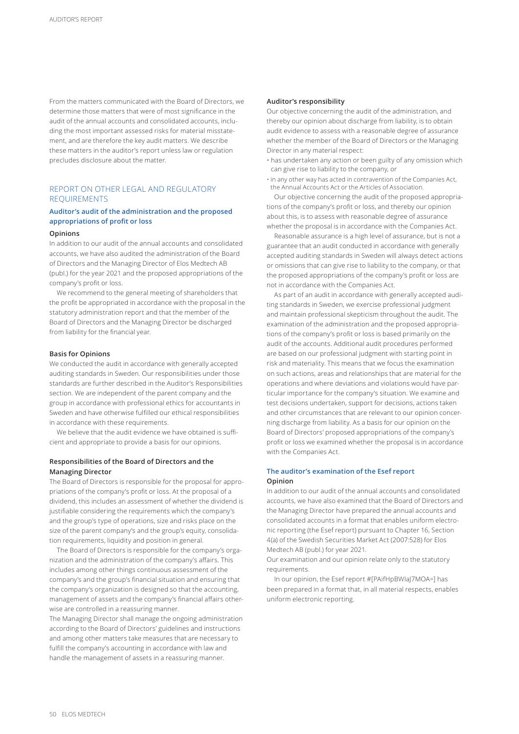From the matters communicated with the Board of Directors, we determine those matters that were of most significance in the audit of the annual accounts and consolidated accounts, including the most important assessed risks for material misstatement, and are therefore the key audit matters. We describe these matters in the auditor's report unless law or regulation precludes disclosure about the matter.

# REPORT ON OTHER LEGAL AND REGULATORY REQUIREMENTS

# **Auditor's audit of the administration and the proposed appropriations of profit or loss**

## **Opinions**

In addition to our audit of the annual accounts and consolidated accounts, we have also audited the administration of the Board of Directors and the Managing Director of Elos Medtech AB (publ.) for the year 2021 and the proposed appropriations of the company's profit or loss.

We recommend to the general meeting of shareholders that the profit be appropriated in accordance with the proposal in the statutory administration report and that the member of the Board of Directors and the Managing Director be discharged from liability for the financial year.

## **Basis for Opinions**

We conducted the audit in accordance with generally accepted auditing standards in Sweden. Our responsibilities under those standards are further described in the Auditor's Responsibilities section. We are independent of the parent company and the group in accordance with professional ethics for accountants in Sweden and have otherwise fulfilled our ethical responsibilities in accordance with these requirements.

We believe that the audit evidence we have obtained is sufficient and appropriate to provide a basis for our opinions.

# **Responsibilities of the Board of Directors and the Managing Director**

The Board of Directors is responsible for the proposal for appropriations of the company's profit or loss. At the proposal of a dividend, this includes an assessment of whether the dividend is justifiable considering the requirements which the company's and the group's type of operations, size and risks place on the size of the parent company's and the group's equity, consolidation requirements, liquidity and position in general.

The Board of Directors is responsible for the company's organization and the administration of the company's affairs. This includes among other things continuous assessment of the company's and the group's financial situation and ensuring that the company's organization is designed so that the accounting, management of assets and the company's financial affairs otherwise are controlled in a reassuring manner.

The Managing Director shall manage the ongoing administration according to the Board of Directors' guidelines and instructions and among other matters take measures that are necessary to fulfill the company's accounting in accordance with law and handle the management of assets in a reassuring manner.

## **Auditor's responsibility**

Our objective concerning the audit of the administration, and thereby our opinion about discharge from liability, is to obtain audit evidence to assess with a reasonable degree of assurance whether the member of the Board of Directors or the Managing Director in any material respect:

- has undertaken any action or been guilty of any omission which can give rise to liability to the company, or
- in any other way has acted in contravention of the Companies Act, the Annual Accounts Act or the Articles of Association.

Our objective concerning the audit of the proposed appropriations of the company's profit or loss, and thereby our opinion about this, is to assess with reasonable degree of assurance whether the proposal is in accordance with the Companies Act.

Reasonable assurance is a high level of assurance, but is not a guarantee that an audit conducted in accordance with generally accepted auditing standards in Sweden will always detect actions or omissions that can give rise to liability to the company, or that the proposed appropriations of the company's profit or loss are not in accordance with the Companies Act.

As part of an audit in accordance with generally accepted auditing standards in Sweden, we exercise professional judgment and maintain professional skepticism throughout the audit. The examination of the administration and the proposed appropriations of the company's profit or loss is based primarily on the audit of the accounts. Additional audit procedures performed are based on our professional judgment with starting point in risk and materiality. This means that we focus the examination on such actions, areas and relationships that are material for the operations and where deviations and violations would have particular importance for the company's situation. We examine and test decisions undertaken, support for decisions, actions taken and other circumstances that are relevant to our opinion concerning discharge from liability. As a basis for our opinion on the Board of Directors' proposed appropriations of the company's profit or loss we examined whether the proposal is in accordance with the Companies Act.

# **The auditor's examination of the Esef report Opinion**

In addition to our audit of the annual accounts and consolidated accounts, we have also examined that the Board of Directors and the Managing Director have prepared the annual accounts and consolidated accounts in a format that enables uniform electronic reporting (the Esef report) pursuant to Chapter 16, Section 4(a) of the Swedish Securities Market Act (2007:528) for Elos Medtech AB (publ.) for year 2021.

Our examination and our opinion relate only to the statutory requirements.

In our opinion, the Esef report #[PAifHpBWIaJ7MOA=] has been prepared in a format that, in all material respects, enables uniform electronic reporting.